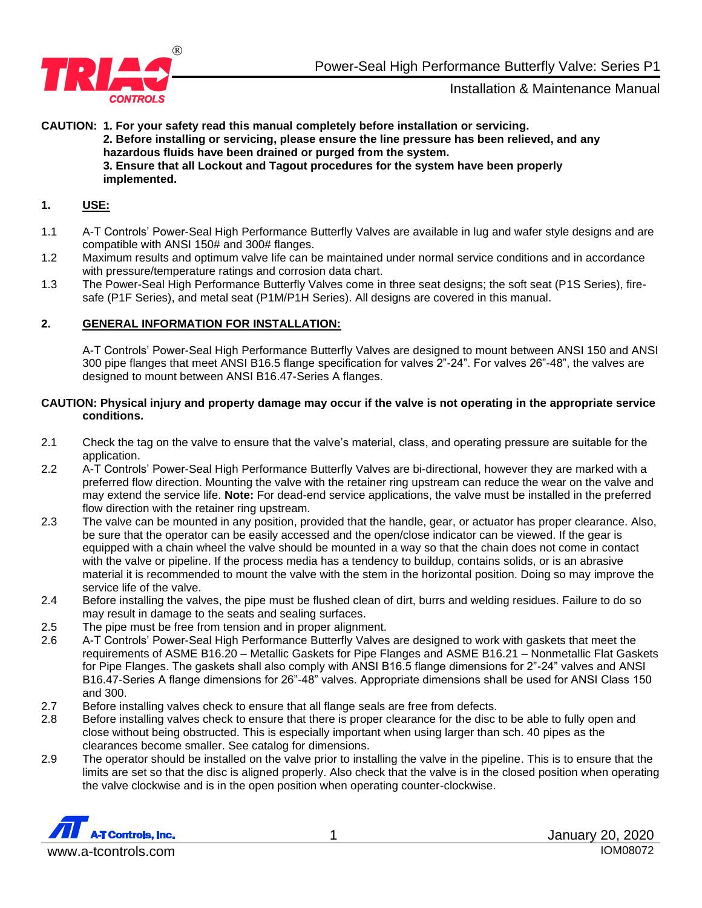

**CAUTION: 1. For your safety read this manual completely before installation or servicing. 2. Before installing or servicing, please ensure the line pressure has been relieved, and any hazardous fluids have been drained or purged from the system. 3. Ensure that all Lockout and Tagout procedures for the system have been properly implemented.**

#### **1. USE:**

- 1.1 A-T Controls' Power-Seal High Performance Butterfly Valves are available in lug and wafer style designs and are compatible with ANSI 150# and 300# flanges.
- 1.2 Maximum results and optimum valve life can be maintained under normal service conditions and in accordance with pressure/temperature ratings and corrosion data chart.
- 1.3 The Power-Seal High Performance Butterfly Valves come in three seat designs; the soft seat (P1S Series), firesafe (P1F Series), and metal seat (P1M/P1H Series). All designs are covered in this manual.

#### **2. GENERAL INFORMATION FOR INSTALLATION:**

A-T Controls' Power-Seal High Performance Butterfly Valves are designed to mount between ANSI 150 and ANSI 300 pipe flanges that meet ANSI B16.5 flange specification for valves 2"-24". For valves 26"-48", the valves are designed to mount between ANSI B16.47-Series A flanges.

#### **CAUTION: Physical injury and property damage may occur if the valve is not operating in the appropriate service conditions.**

- 2.1 Check the tag on the valve to ensure that the valve's material, class, and operating pressure are suitable for the application.
- 2.2 A-T Controls' Power-Seal High Performance Butterfly Valves are bi-directional, however they are marked with a preferred flow direction. Mounting the valve with the retainer ring upstream can reduce the wear on the valve and may extend the service life. **Note:** For dead-end service applications, the valve must be installed in the preferred flow direction with the retainer ring upstream.
- 2.3 The valve can be mounted in any position, provided that the handle, gear, or actuator has proper clearance. Also, be sure that the operator can be easily accessed and the open/close indicator can be viewed. If the gear is equipped with a chain wheel the valve should be mounted in a way so that the chain does not come in contact with the valve or pipeline. If the process media has a tendency to buildup, contains solids, or is an abrasive material it is recommended to mount the valve with the stem in the horizontal position. Doing so may improve the service life of the valve.
- 2.4 Before installing the valves, the pipe must be flushed clean of dirt, burrs and welding residues. Failure to do so may result in damage to the seats and sealing surfaces.
- 2.5 The pipe must be free from tension and in proper alignment.
- 2.6 A-T Controls' Power-Seal High Performance Butterfly Valves are designed to work with gaskets that meet the requirements of ASME B16.20 – Metallic Gaskets for Pipe Flanges and ASME B16.21 – Nonmetallic Flat Gaskets for Pipe Flanges. The gaskets shall also comply with ANSI B16.5 flange dimensions for 2"-24" valves and ANSI B16.47-Series A flange dimensions for 26"-48" valves. Appropriate dimensions shall be used for ANSI Class 150 and 300.
- 2.7 Before installing valves check to ensure that all flange seals are free from defects.
- 2.8 Before installing valves check to ensure that there is proper clearance for the disc to be able to fully open and close without being obstructed. This is especially important when using larger than sch. 40 pipes as the clearances become smaller. See catalog for dimensions.
- 2.9 The operator should be installed on the valve prior to installing the valve in the pipeline. This is to ensure that the limits are set so that the disc is aligned properly. Also check that the valve is in the closed position when operating the valve clockwise and is in the open position when operating counter-clockwise.

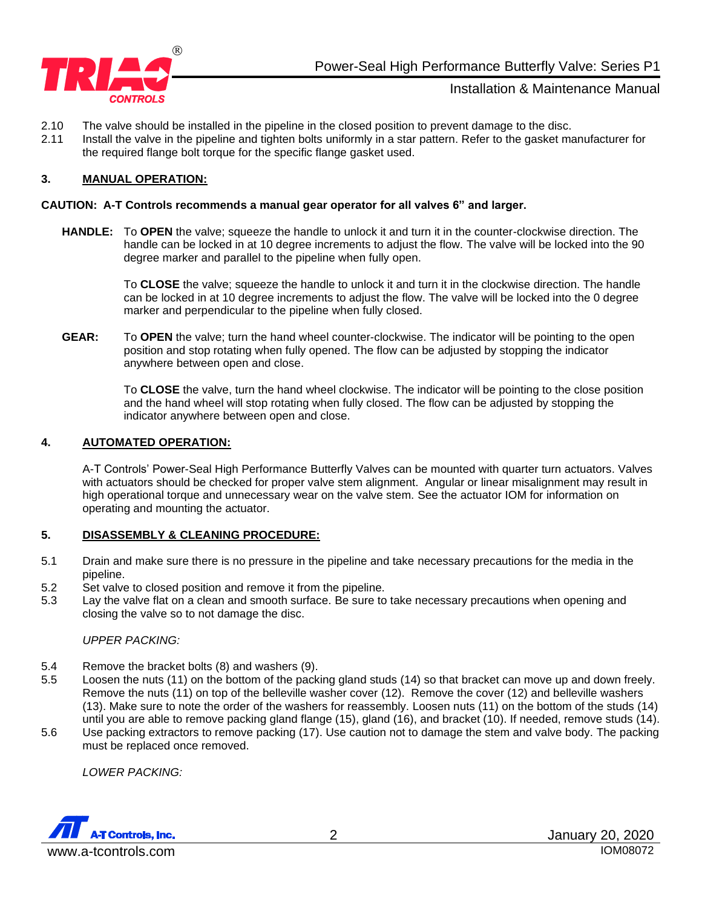

- 2.10 The valve should be installed in the pipeline in the closed position to prevent damage to the disc.
- 2.11 Install the valve in the pipeline and tighten bolts uniformly in a star pattern. Refer to the gasket manufacturer for the required flange bolt torque for the specific flange gasket used.

## **3. MANUAL OPERATION:**

#### **CAUTION: A-T Controls recommends a manual gear operator for all valves 6" and larger.**

**HANDLE:** To **OPEN** the valve; squeeze the handle to unlock it and turn it in the counter-clockwise direction. The handle can be locked in at 10 degree increments to adjust the flow. The valve will be locked into the 90 degree marker and parallel to the pipeline when fully open.

> To **CLOSE** the valve; squeeze the handle to unlock it and turn it in the clockwise direction. The handle can be locked in at 10 degree increments to adjust the flow. The valve will be locked into the 0 degree marker and perpendicular to the pipeline when fully closed.

**GEAR:** To **OPEN** the valve; turn the hand wheel counter-clockwise. The indicator will be pointing to the open position and stop rotating when fully opened. The flow can be adjusted by stopping the indicator anywhere between open and close.

> To **CLOSE** the valve, turn the hand wheel clockwise. The indicator will be pointing to the close position and the hand wheel will stop rotating when fully closed. The flow can be adjusted by stopping the indicator anywhere between open and close.

#### **4. AUTOMATED OPERATION:**

A-T Controls' Power-Seal High Performance Butterfly Valves can be mounted with quarter turn actuators. Valves with actuators should be checked for proper valve stem alignment. Angular or linear misalignment may result in high operational torque and unnecessary wear on the valve stem. See the actuator IOM for information on operating and mounting the actuator.

## **5. DISASSEMBLY & CLEANING PROCEDURE:**

- 5.1 Drain and make sure there is no pressure in the pipeline and take necessary precautions for the media in the pipeline.
- 5.2 Set valve to closed position and remove it from the pipeline.
- 5.3 Lay the valve flat on a clean and smooth surface. Be sure to take necessary precautions when opening and closing the valve so to not damage the disc.

#### *UPPER PACKING:*

- 5.4 Remove the bracket bolts (8) and washers (9).
- 5.5 Loosen the nuts (11) on the bottom of the packing gland studs (14) so that bracket can move up and down freely. Remove the nuts (11) on top of the belleville washer cover (12). Remove the cover (12) and belleville washers (13). Make sure to note the order of the washers for reassembly. Loosen nuts (11) on the bottom of the studs (14) until you are able to remove packing gland flange (15), gland (16), and bracket (10). If needed, remove studs (14).
- 5.6 Use packing extractors to remove packing (17). Use caution not to damage the stem and valve body. The packing must be replaced once removed.

*LOWER PACKING:*

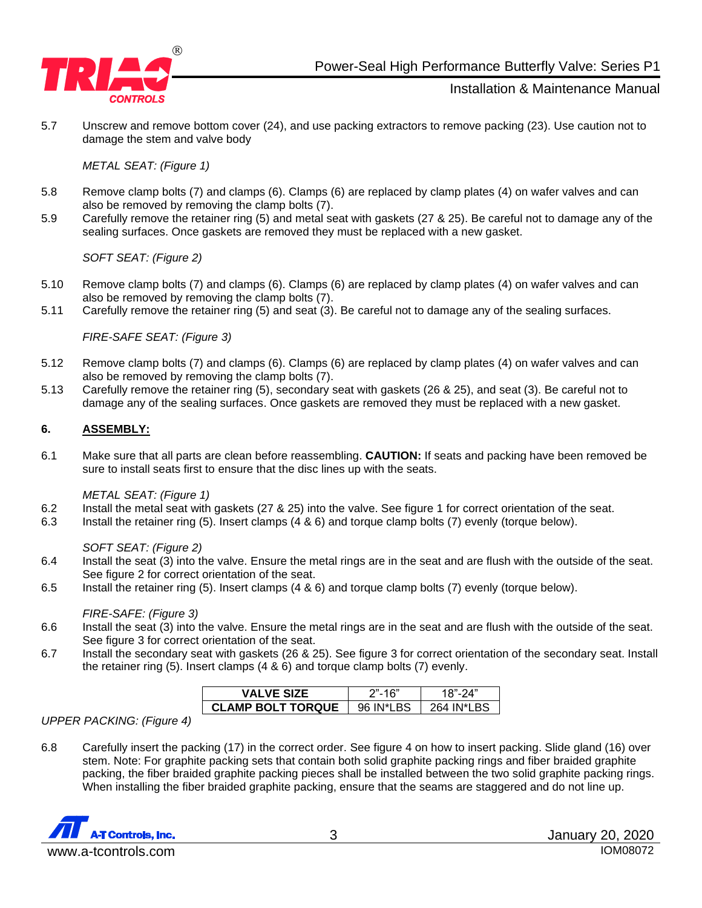

5.7 Unscrew and remove bottom cover (24), and use packing extractors to remove packing (23). Use caution not to damage the stem and valve body

#### *METAL SEAT: (Figure 1)*

- 5.8 Remove clamp bolts (7) and clamps (6). Clamps (6) are replaced by clamp plates (4) on wafer valves and can also be removed by removing the clamp bolts (7).
- 5.9 Carefully remove the retainer ring (5) and metal seat with gaskets (27 & 25). Be careful not to damage any of the sealing surfaces. Once gaskets are removed they must be replaced with a new gasket.

*SOFT SEAT: (Figure 2)*

- 5.10 Remove clamp bolts (7) and clamps (6). Clamps (6) are replaced by clamp plates (4) on wafer valves and can also be removed by removing the clamp bolts (7).
- 5.11 Carefully remove the retainer ring (5) and seat (3). Be careful not to damage any of the sealing surfaces.

*FIRE-SAFE SEAT: (Figure 3)*

- 5.12 Remove clamp bolts (7) and clamps (6). Clamps (6) are replaced by clamp plates (4) on wafer valves and can also be removed by removing the clamp bolts (7).
- 5.13 Carefully remove the retainer ring (5), secondary seat with gaskets (26 & 25), and seat (3). Be careful not to damage any of the sealing surfaces. Once gaskets are removed they must be replaced with a new gasket.

#### **6. ASSEMBLY:**

6.1 Make sure that all parts are clean before reassembling. **CAUTION:** If seats and packing have been removed be sure to install seats first to ensure that the disc lines up with the seats.

*METAL SEAT: (Figure 1)*

- 6.2 Install the metal seat with gaskets (27 & 25) into the valve. See figure 1 for correct orientation of the seat.
- 6.3 Install the retainer ring (5). Insert clamps (4 & 6) and torque clamp bolts (7) evenly (torque below).

*SOFT SEAT: (Figure 2)*

- 6.4 Install the seat (3) into the valve. Ensure the metal rings are in the seat and are flush with the outside of the seat. See figure 2 for correct orientation of the seat.
- 6.5 Install the retainer ring (5). Insert clamps (4 & 6) and torque clamp bolts (7) evenly (torque below).

*FIRE-SAFE: (Figure 3)*

- 6.6 Install the seat (3) into the valve. Ensure the metal rings are in the seat and are flush with the outside of the seat. See figure 3 for correct orientation of the seat.
- 6.7 Install the secondary seat with gaskets (26 & 25). See figure 3 for correct orientation of the secondary seat. Install the retainer ring (5). Insert clamps (4 & 6) and torque clamp bolts (7) evenly.

| <b>VALVE SIZE</b>        |           |                 |
|--------------------------|-----------|-----------------|
| <b>CLAMP BOLT TORQUE</b> | 96 IN*LBS | 264 IN*I<br>R.S |

*UPPER PACKING: (Figure 4)*

6.8 Carefully insert the packing (17) in the correct order. See figure 4 on how to insert packing. Slide gland (16) over stem. Note: For graphite packing sets that contain both solid graphite packing rings and fiber braided graphite packing, the fiber braided graphite packing pieces shall be installed between the two solid graphite packing rings. When installing the fiber braided graphite packing, ensure that the seams are staggered and do not line up.

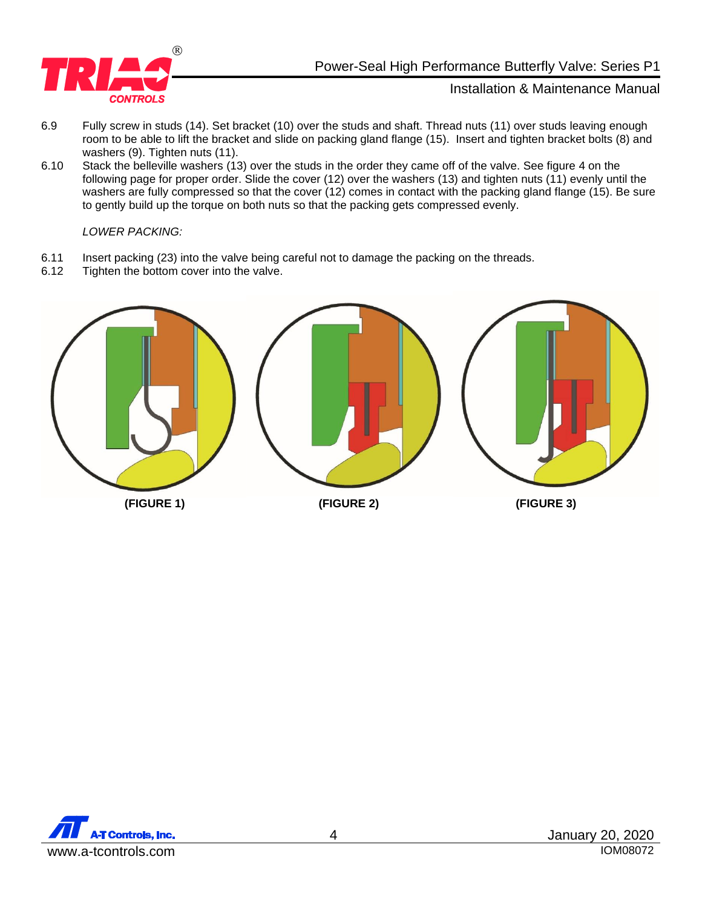

- 6.9 Fully screw in studs (14). Set bracket (10) over the studs and shaft. Thread nuts (11) over studs leaving enough room to be able to lift the bracket and slide on packing gland flange (15). Insert and tighten bracket bolts (8) and washers (9). Tighten nuts (11).
- 6.10 Stack the belleville washers (13) over the studs in the order they came off of the valve. See figure 4 on the following page for proper order. Slide the cover (12) over the washers (13) and tighten nuts (11) evenly until the washers are fully compressed so that the cover (12) comes in contact with the packing gland flange (15). Be sure to gently build up the torque on both nuts so that the packing gets compressed evenly.

*LOWER PACKING:*

- 6.11 Insert packing (23) into the valve being careful not to damage the packing on the threads.<br>6.12 Tighten the bottom cover into the valve.
- Tighten the bottom cover into the valve.



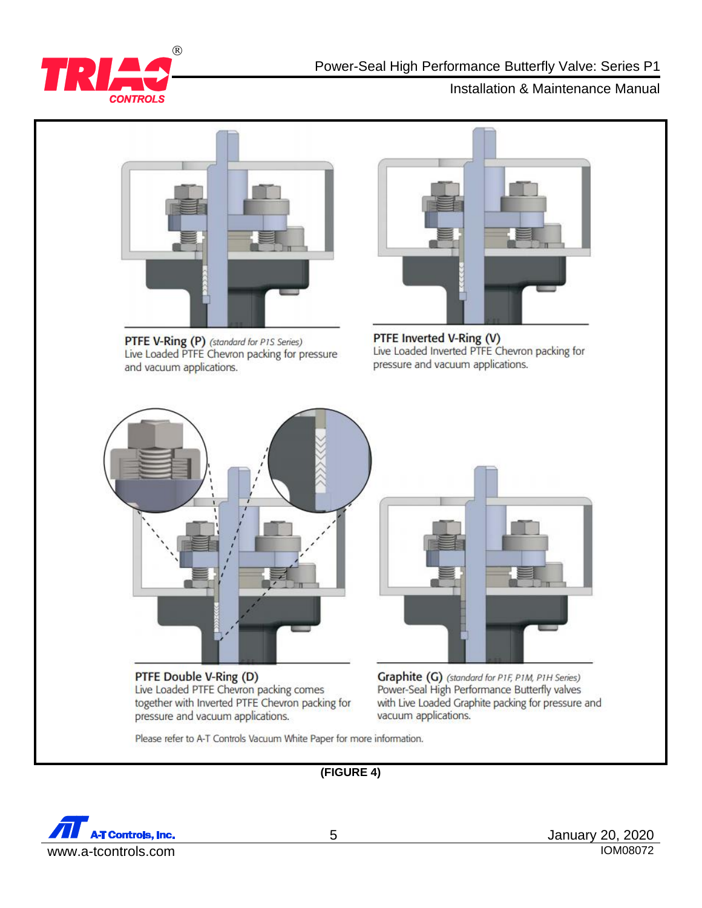



PTFE V-Ring (P) (standard for P1S Series) Live Loaded PTFE Chevron packing for pressure and vacuum applications.



PTFE Inverted V-Ring (V)<br>Live Loaded Inverted PTFE Chevron packing for pressure and vacuum applications.



PTFE Double V-Ring (D) Live Loaded PTFE Chevron packing comes together with Inverted PTFE Chevron packing for pressure and vacuum applications.



Graphite (G) (standard for P1F, P1M, P1H Series) Power-Seal High Performance Butterfly valves with Live Loaded Graphite packing for pressure and vacuum applications.

Please refer to A-T Controls Vacuum White Paper for more information.

# **(FIGURE 4)**

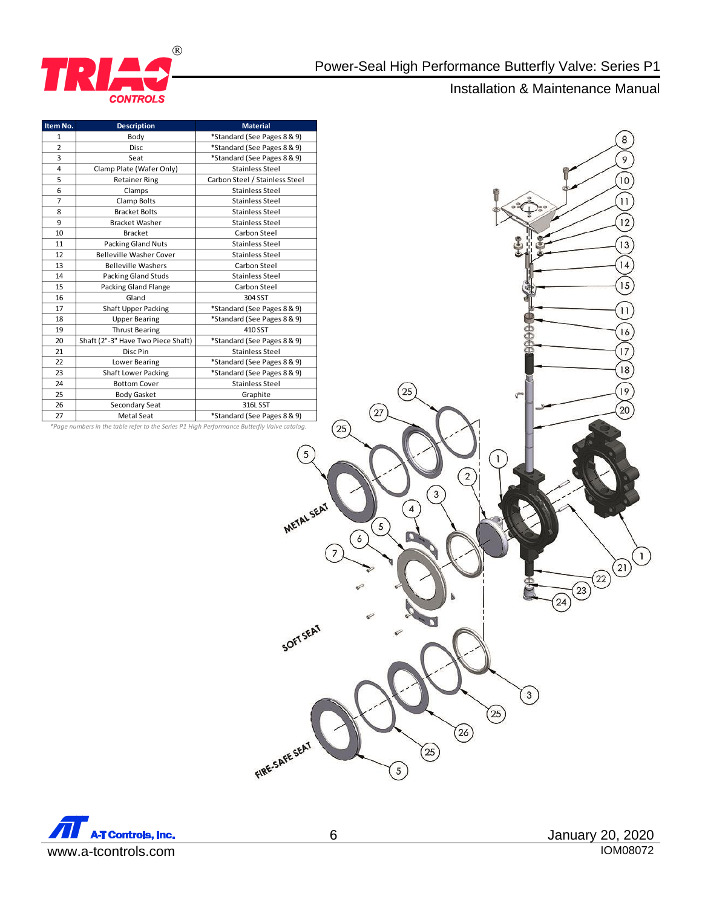



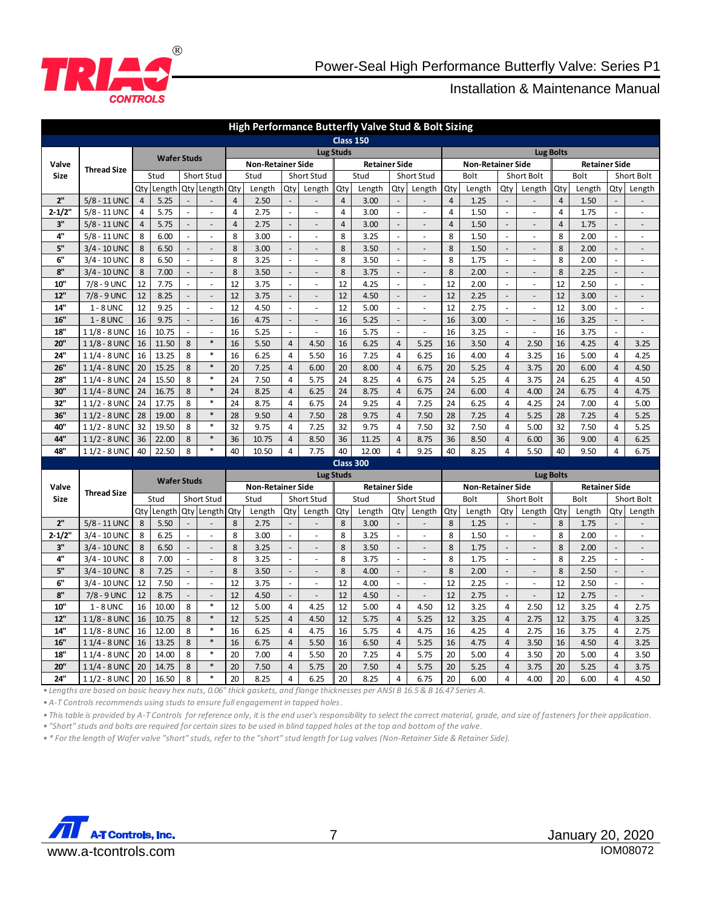

| High Performance Butterfly Valve Stud & Bolt Sizing |                                                                                                                                                                                     |                           |                    |                          |                          |                  |                          |                                |                          |                      |                          |                          |                                    |                          |                      |                          |                          |                      |              |                |                          |
|-----------------------------------------------------|-------------------------------------------------------------------------------------------------------------------------------------------------------------------------------------|---------------------------|--------------------|--------------------------|--------------------------|------------------|--------------------------|--------------------------------|--------------------------|----------------------|--------------------------|--------------------------|------------------------------------|--------------------------|----------------------|--------------------------|--------------------------|----------------------|--------------|----------------|--------------------------|
|                                                     | <b>Class 150</b>                                                                                                                                                                    |                           |                    |                          |                          |                  |                          |                                |                          |                      |                          |                          |                                    |                          |                      |                          |                          |                      |              |                |                          |
|                                                     | <b>Thread Size</b>                                                                                                                                                                  | <b>Wafer Studs</b>        |                    |                          |                          | <b>Lug Studs</b> |                          |                                |                          |                      |                          |                          | <b>Lug Bolts</b>                   |                          |                      |                          |                          |                      |              |                |                          |
| Valve                                               |                                                                                                                                                                                     |                           |                    |                          | <b>Non-Retainer Side</b> |                  |                          | <b>Retainer Side</b>           |                          |                      | <b>Non-Retainer Side</b> |                          |                                    |                          | <b>Retainer Side</b> |                          |                          |                      |              |                |                          |
| Size                                                |                                                                                                                                                                                     |                           | Stud               |                          | Short Stud               |                  | Stud                     |                                | Short Stud               |                      | Stud                     |                          | Short Stud                         |                          | Bolt                 |                          | Short Bolt               |                      | Bolt         |                | Short Bolt               |
|                                                     |                                                                                                                                                                                     | Qty                       | Length             | Qty                      | Length                   | Qty              | Length                   | Qty                            | Length                   | Qty                  | Length                   | Qty                      | Length                             | Qty                      | Length               | Qty                      | Length                   | Qty                  | Length       | Qtv            | Length                   |
| 2"                                                  | 5/8 - 11 UNC                                                                                                                                                                        | $\overline{4}$            | 5.25               |                          |                          | $\overline{4}$   | 2.50                     |                                |                          | $\sqrt{4}$           | 3.00                     | $\blacksquare$           |                                    | $\overline{4}$           | 1.25                 |                          |                          | $\overline{4}$       | 1.50         |                |                          |
| $2 - 1/2"$                                          | 5/8 - 11 UNC                                                                                                                                                                        | 4                         | 5.75               |                          | ä,                       | $\overline{4}$   | 2.75                     | ä,<br>$\overline{\phantom{a}}$ |                          | $\overline{4}$       | 3.00                     | ä,<br>$\overline{a}$     | $\blacksquare$                     | 4                        | 1.50                 | L.<br>$\overline{a}$     |                          | $\overline{4}$       | 1.75         |                |                          |
| 3"                                                  | 5/8 - 11 UNC                                                                                                                                                                        | $\overline{4}$            | 5.75               | $\frac{1}{2}$            | $\overline{a}$           | $\overline{4}$   | 2.75                     |                                |                          | $\overline{4}$       | 3.00                     |                          | $\overline{a}$                     | $\overline{4}$           | 1.50                 |                          |                          | $\overline{4}$       | 1.75         |                |                          |
| 4"<br>5"                                            | 5/8 - 11 UNC                                                                                                                                                                        | 8                         | 6.00<br>6.50       | ÷,                       | $\sim$<br>$\overline{a}$ | 8<br>8           | 3.00                     | L.<br>$\overline{\phantom{a}}$ |                          | 8<br>8               | 3.25                     | $\overline{a}$           | $\blacksquare$                     | 8<br>8                   | 1.50                 | L.<br>$\mathbb{L}$       |                          | 8<br>8               | 2.00<br>2.00 |                |                          |
| 6"                                                  | 3/4 - 10 UNC                                                                                                                                                                        | 8<br>8                    | 6.50               | ÷,                       | ÷,                       | 8                | 3.00<br>3.25             | ä,                             | $\bar{a}$                | 8                    | 3.50<br>3.50             | $\overline{a}$           | ÷,                                 | 8                        | 1.50<br>1.75         | ä,                       |                          | 8                    | 2.00         |                |                          |
| 8"                                                  | 3/4 - 10 UNC                                                                                                                                                                        | 8                         |                    | $\overline{a}$           |                          | 8                |                          | $\overline{\phantom{a}}$       |                          |                      |                          | $\overline{a}$           | $\overline{\phantom{a}}$           | 8                        | 2.00                 | $\overline{\phantom{a}}$ |                          | 8                    |              |                |                          |
|                                                     | $3/4 - 10$ UNC<br>$7/8 - 9$ UNC                                                                                                                                                     |                           | 7.00<br>7.75       | ÷,                       | $\overline{a}$           | 12               | 3.50                     | ä,                             |                          | $\bf 8$<br>12        | 3.75                     | $\overline{a}$           | $\frac{1}{2}$                      | 12                       |                      | ä,                       | $\overline{a}$           | 12                   | 2.25         |                | $\overline{a}$           |
| 10"                                                 |                                                                                                                                                                                     | 12                        |                    | $\overline{a}$           | ÷,                       |                  | 3.75                     | $\overline{\phantom{a}}$       | $\sim$                   |                      | 4.25                     | $\overline{a}$           | ÷,                                 |                          | 2.00                 | $\overline{a}$           |                          | 12                   | 2.50         |                |                          |
| 12"<br>14"                                          | $7/8 - 9$ UNC                                                                                                                                                                       | 12<br>12                  | 8.25<br>9.25       | $\overline{\phantom{a}}$ | $\overline{a}$<br>÷,     | 12<br>12         | 3.75<br>4.50             | ä,                             | ÷.                       | 12<br>12             | 4.50<br>5.00             | ÷.                       | $\qquad \qquad \blacksquare$<br>ä, | 12<br>12                 | 2.25<br>2.75         | $\sim$                   | $\overline{a}$<br>$\sim$ | 12                   | 3.00<br>3.00 | ÷,             | $\sim$                   |
|                                                     | $1 - 8$ UNC                                                                                                                                                                         | 16                        |                    | $\overline{\phantom{a}}$ | $\overline{a}$           | 16               |                          | $\overline{\phantom{a}}$       | ÷.                       | 16                   |                          | $\overline{\phantom{a}}$ | $\overline{\phantom{a}}$           | 16                       |                      | $\mathbb{L}$             | $\overline{a}$           | 16                   |              | $\overline{a}$ | $\overline{\phantom{a}}$ |
| 16"<br>18"                                          | $1 - 8$ UNC                                                                                                                                                                         | 16                        | 9.75<br>10.75      | $\overline{a}$           | ÷,                       | 16               | 4.75<br>5.25             | ä,                             | ÷,                       | 16                   | 5.25<br>5.75             | ÷.                       | $\overline{a}$                     | 16                       | 3.00<br>3.25         | L.                       |                          | 16                   | 3.25         | L,             |                          |
| 20"                                                 | 11/8 - 8 UNC<br>11/8 - 8 UNC                                                                                                                                                        | 16                        | 11.50              | 8                        | $\ast$                   | 16               | 5.50                     | $\overline{4}$                 | 4.50                     | 16                   | 6.25                     | $\overline{4}$           | 5.25                               | 16                       | 3.50                 | $\overline{4}$           | 2.50                     | 16                   | 3.75<br>4.25 | $\overline{4}$ | 3.25                     |
| 24"                                                 | $11/4 - 8$ UNC                                                                                                                                                                      | 16                        | 13.25              | 8                        | $\ast$                   | 16               | 6.25                     | $\overline{4}$                 | 5.50                     | 16                   | 7.25                     | $\overline{4}$           | 6.25                               | 16                       | 4.00                 | $\overline{4}$           | 3.25                     | 16                   | 5.00         | $\overline{4}$ | 4.25                     |
| 26"                                                 | 11/4 - 8 UNC                                                                                                                                                                        | 20                        | 15.25              | 8                        | $\ast$                   | 20               | 7.25                     | $\overline{4}$                 | 6.00                     | 20                   | 8.00                     | $\overline{4}$           | 6.75                               | 20                       | 5.25                 | $\overline{4}$           | 3.75                     | 20                   | 6.00         | $\overline{4}$ | 4.50                     |
| 28"                                                 | $11/4 - 8$ UNC                                                                                                                                                                      | 24                        | 15.50              | 8                        | $\ast$                   | 24               | 7.50                     | $\overline{4}$                 | 5.75                     | 24                   | 8.25                     | $\overline{4}$           | 6.75                               | 24                       | 5.25                 | $\overline{4}$           | 3.75                     | 24                   | 6.25         | 4              | 4.50                     |
| 30"                                                 | $11/4 - 8$ UNC                                                                                                                                                                      | 24                        | 16.75              | 8                        | $\ast$                   | 24               | 8.25                     | $\overline{4}$                 | 6.25                     | 24                   | 8.75                     | $\overline{4}$           | 6.75                               | 24                       | 6.00                 | $\overline{4}$           | 4.00                     | 24                   | 6.75         | $\overline{4}$ | 4.75                     |
| 32"                                                 | $11/2 - 8$ UNC                                                                                                                                                                      | 24                        | 17.75              | 8                        | $\ast$                   | 24               | 8.75                     | $\overline{4}$                 | 6.75                     | 24                   | 9.25                     | $\overline{4}$           | 7.25                               | 24                       | 6.25                 | $\overline{4}$           | 4.25                     | 24                   | 7.00         | $\overline{4}$ | 5.00                     |
| 36"                                                 | $11/2 - 8$ UNC                                                                                                                                                                      | 28                        | 19.00              | 8                        | $\ast$                   | 28               | 9.50                     | $\overline{4}$                 | 7.50                     | 28                   | 9.75                     | $\overline{4}$           | 7.50                               | 28                       | 7.25                 | $\overline{4}$           | 5.25                     | 28                   | 7.25         | $\overline{4}$ | 5.25                     |
| 40"                                                 | $11/2 - 8$ UNC                                                                                                                                                                      | 32                        | 19.50              | 8                        | $\ast$                   | 32               | 9.75                     | $\overline{4}$                 | 7.25                     | 32                   | 9.75                     | $\overline{4}$           | 7.50                               | 32                       | 7.50                 | $\overline{4}$           | 5.00                     | 32                   | 7.50         | $\overline{4}$ | 5.25                     |
| 44"                                                 | $11/2 - 8$ UNC                                                                                                                                                                      | 36                        | 22.00              | 8                        | $\ast$                   | 36               | 10.75                    | $\overline{4}$                 | 8.50                     | 36                   | 11.25                    | $\overline{4}$           | 8.75                               | 36                       | 8.50                 | $\overline{4}$           | 6.00                     | 36                   | 9.00         | $\overline{4}$ | 6.25                     |
| 48"                                                 | $11/2 - 8$ UNC                                                                                                                                                                      | 40                        | 22.50              | 8                        | $\ast$                   | 40               | 10.50                    | $\sqrt{4}$                     | 7.75                     | 40                   | 12.00                    | $\overline{4}$           | 9.25                               | 40                       | 8.25                 | $\overline{4}$           | 5.50                     | 40                   | 9.50         | 4              | 6.75                     |
|                                                     |                                                                                                                                                                                     |                           |                    |                          |                          |                  |                          |                                |                          |                      | Class 300                |                          |                                    |                          |                      |                          |                          |                      |              |                |                          |
|                                                     |                                                                                                                                                                                     |                           |                    |                          |                          |                  |                          |                                | <b>Lug Studs</b>         |                      |                          |                          |                                    |                          |                      |                          | <b>Lug Bolts</b>         |                      |              |                |                          |
| Valve                                               |                                                                                                                                                                                     |                           | <b>Wafer Studs</b> |                          |                          |                  | <b>Non-Retainer Side</b> |                                |                          | <b>Retainer Side</b> |                          |                          |                                    | <b>Non-Retainer Side</b> |                      |                          |                          | <b>Retainer Side</b> |              |                |                          |
| Size                                                | <b>Thread Size</b>                                                                                                                                                                  | Stud<br><b>Short Stud</b> |                    | Stud<br>Short Stud       |                          |                  | Stud<br>Short Stud       |                                |                          | Bolt<br>Short Bolt   |                          |                          |                                    | Bolt<br>Short Bolt       |                      |                          |                          |                      |              |                |                          |
|                                                     |                                                                                                                                                                                     | Qty                       | Length             | Qty                      | Length                   | Qty              | Length                   | Qty                            | Length                   | Qty                  | Length                   | Qty                      | Length                             | Qty                      | Length               | Qtv                      | Length                   | Qty                  | Length       | Qtv            | Length                   |
| 2"                                                  | 5/8 - 11 UNC                                                                                                                                                                        | 8                         | 5.50               |                          |                          | 8                | 2.75                     | $\overline{\phantom{a}}$       | $\overline{\phantom{a}}$ | 8                    | 3.00                     | $\overline{\phantom{a}}$ |                                    | 8                        | 1.25                 | $\overline{\phantom{a}}$ |                          | 8                    | 1.75         |                |                          |
| $2 - 1/2"$                                          | 3/4 - 10 UNC                                                                                                                                                                        | 8                         | 6.25               |                          | ÷,                       | 8                | 3.00                     | $\blacksquare$                 | $\bar{\phantom{a}}$      | 8                    | 3.25                     | $\Box$                   | ä,                                 | 8                        | 1.50                 | $\omega$                 | ÷,                       | 8                    | 2.00         |                | ÷,                       |
| 3"                                                  | 3/4 - 10 UNC                                                                                                                                                                        | 8                         | 6.50               | $\overline{a}$           | $\overline{a}$           | 8                | 3.25                     | $\overline{\phantom{a}}$       | $\Box$                   | 8                    | 3.50                     | $\Box$                   | $\blacksquare$                     | 8                        | 1.75                 | $\blacksquare$           | $\overline{a}$           | 8                    | 2.00         |                | $\overline{\phantom{a}}$ |
| 4"                                                  | 3/4 - 10 UNC                                                                                                                                                                        | 8                         | 7.00               | $\overline{\phantom{a}}$ | ÷,                       | 8                | 3.25                     | $\omega$                       |                          | 8                    | 3.75                     | $\omega$                 | $\overline{a}$                     | 8                        | 1.75                 | $\omega$                 |                          | 8                    | 2.25         | ÷,             |                          |
| 5"                                                  | 3/4 - 10 UNC                                                                                                                                                                        | 8                         | 7.25               | $\overline{\phantom{a}}$ | $\overline{a}$           | 8                | 3.50                     | $\Box$                         |                          | 8                    | 4.00                     | $\Box$                   | $\blacksquare$                     | 8                        | 2.00                 | $\Box$                   | $\overline{a}$           | 8                    | 2.50         |                | $\overline{\phantom{a}}$ |
| 6"                                                  | 3/4 - 10 UNC                                                                                                                                                                        | 12                        | 7.50               | $\overline{\phantom{a}}$ | $\overline{\phantom{a}}$ | 12               | 3.75                     | $\omega$                       | $\sim$                   | 12                   | 4.00                     | $\Box$                   | $\overline{\phantom{a}}$           | 12                       | 2.25                 | $\Box$                   | $\overline{\phantom{a}}$ | 12                   | 2.50         | $\Box$         | $\sim$                   |
| 8"                                                  | $7/8 - 9$ UNC                                                                                                                                                                       | 12                        | 8.75               | $\overline{\phantom{a}}$ | $\overline{a}$           | 12               | 4.50                     | $\Box$                         | $\overline{a}$           | 12                   | 4.50                     | $\Box$                   | $\overline{\phantom{a}}$           | 12                       | 2.75                 | $\Box$                   | $\overline{a}$           | 12                   | 2.75         | $\overline{a}$ | $\overline{\phantom{a}}$ |
| 10"                                                 | $1 - 8$ UNC                                                                                                                                                                         | 16                        | 10.00              | 8                        | $\ast$                   | 12               | 5.00                     | 4                              | 4.25                     | 12                   | 5.00                     | 4                        | 4.50                               | 12                       | 3.25                 | 4                        | 2.50                     | 12                   | 3.25         | 4              | 2.75                     |
| 12"                                                 | 11/8 - 8 UNC                                                                                                                                                                        | 16                        | 10.75              | 8                        | $\ast$                   | 12               | 5.25                     | $\overline{4}$                 | 4.50                     | 12                   | 5.75                     | $\overline{4}$           | 5.25                               | 12                       | 3.25                 | $\overline{4}$           | 2.75                     | 12                   | 3.75         | $\overline{4}$ | 3.25                     |
| 14"                                                 | 11/8 - 8 UNC                                                                                                                                                                        | 16                        | 12.00              | 8                        | $\ast$                   | 16               | 6.25                     | $\overline{4}$                 | 4.75                     | 16                   | 5.75                     | $\overline{4}$           | 4.75                               | 16                       | 4.25                 | $\overline{4}$           | 2.75                     | 16                   | 3.75         | $\overline{4}$ | 2.75                     |
| 16"                                                 | $11/4 - 8$ UNC                                                                                                                                                                      | 16                        | 13.25              | 8                        | $\ast$                   | 16               | 6.75                     | $\overline{4}$                 | 5.50                     | 16                   | 6.50                     | $\overline{4}$           | 5.25                               | 16                       | 4.75                 | $\overline{4}$           | 3.50                     | 16                   | 4.50         | $\overline{4}$ | 3.25                     |
| 18"                                                 | 11/4 - 8 UNC                                                                                                                                                                        | 20                        | 14.00              | 8                        | $\ast$                   | 20               | 7.00                     | 4                              | 5.50                     | 20                   | 7.25                     | $\overline{4}$           | 5.75                               | 20                       | 5.00                 | $\overline{4}$           | 3.50                     | 20                   | 5.00         | $\overline{4}$ | 3.50                     |
| 20"                                                 | $11/4 - 8$ UNC                                                                                                                                                                      | 20                        | 14.75              | 8                        | $\ast$                   | 20               | 7.50                     | $\overline{4}$                 | 5.75                     | 20                   | 7.50                     | $\overline{4}$           | 5.75                               | 20                       | 5.25                 | $\overline{4}$           | 3.75                     | 20                   | 5.25         | $\overline{4}$ | 3.75                     |
| 24"                                                 | $11/2 - 8$ UNC                                                                                                                                                                      | 20                        | 16.50              | 8                        | $\ast$                   | 20               | 8.25                     | $\overline{\mathbf{4}}$        | 6.25                     | 20                   | 8.25                     | 4                        | 6.75                               | 20                       | 6.00                 | 4                        | 4.00                     | 20                   | 6.00         | 4              | 4.50                     |
|                                                     | . Lengths are based on basic heavy hex nuts, 0.06" thick gaskets, and flange thicknesses per ANSI B 16.5 & B 16.47 Series A.                                                        |                           |                    |                          |                          |                  |                          |                                |                          |                      |                          |                          |                                    |                          |                      |                          |                          |                      |              |                |                          |
|                                                     | • A-T Controls recommends using studs to ensure full engagement in tapped holes.                                                                                                    |                           |                    |                          |                          |                  |                          |                                |                          |                      |                          |                          |                                    |                          |                      |                          |                          |                      |              |                |                          |
|                                                     | • This table is provided by A-T Controls for reference only, it is the end user's responsibility to select the correct material, arade, and size of fasteners for their application |                           |                    |                          |                          |                  |                          |                                |                          |                      |                          |                          |                                    |                          |                      |                          |                          |                      |              |                |                          |

*• "Short" studs and bolts are required for certain sizes to be used in blind tapped holes at the top and bottom of the valve.* **14. 11/2 - 8 UNC 20 16.50 8** \* **20 8.25 4 6.25 20 8.25 4 6.75 20 6.00 4**<br> **• Lengths are based on basic heavy hex nuts, 0.06" thick gaskets, and flange thicknesses per ANSI B 16.5 & B 16.47 Series A.<br>
• A-T Controls rec** *• This table is provided by A-T Controls for reference only, it is the end user's responsibility to select the correct material, grade, and size of fasteners for their application.*